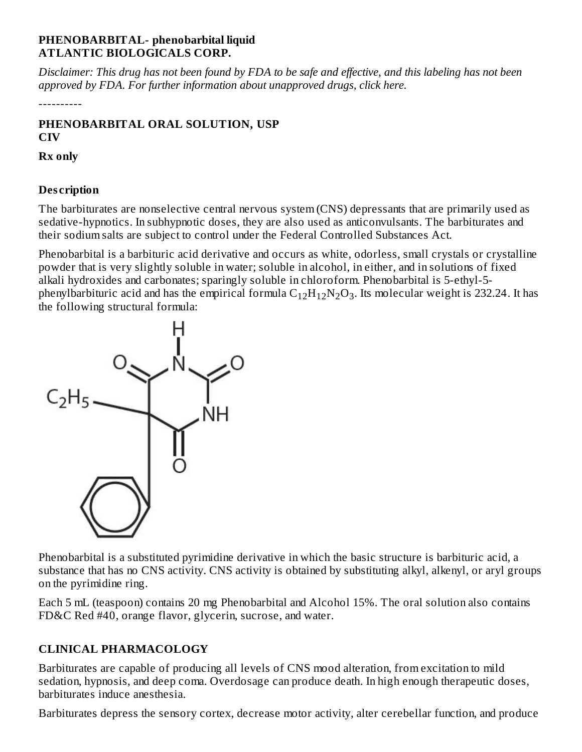#### **PHENOBARBITAL- phenobarbital liquid ATLANTIC BIOLOGICALS CORP.**

Disclaimer: This drug has not been found by FDA to be safe and effective, and this labeling has not been *approved by FDA. For further information about unapproved drugs, click here.*

----------

#### **PHENOBARBITAL ORAL SOLUTION, USP CIV**

**Rx only**

#### **Des cription**

The barbiturates are nonselective central nervous system (CNS) depressants that are primarily used as sedative-hypnotics. In subhypnotic doses, they are also used as anticonvulsants. The barbiturates and their sodium salts are subject to control under the Federal Controlled Substances Act.

Phenobarbital is a barbituric acid derivative and occurs as white, odorless, small crystals or crystalline powder that is very slightly soluble in water; soluble in alcohol, in either, and in solutions of fixed alkali hydroxides and carbonates; sparingly soluble in chloroform. Phenobarbital is 5-ethyl-5 phenylbarbituric acid and has the empirical formula  $\rm{C_{12}H_{12}N_2O_3}$ . Its molecular weight is 232.24. It has the following structural formula:



Phenobarbital is a substituted pyrimidine derivative in which the basic structure is barbituric acid, a substance that has no CNS activity. CNS activity is obtained by substituting alkyl, alkenyl, or aryl groups on the pyrimidine ring.

Each 5 mL (teaspoon) contains 20 mg Phenobarbital and Alcohol 15%. The oral solution also contains FD&C Red #40, orange flavor, glycerin, sucrose, and water.

## **CLINICAL PHARMACOLOGY**

Barbiturates are capable of producing all levels of CNS mood alteration, from excitation to mild sedation, hypnosis, and deep coma. Overdosage can produce death. In high enough therapeutic doses, barbiturates induce anesthesia.

Barbiturates depress the sensory cortex, decrease motor activity, alter cerebellar function, and produce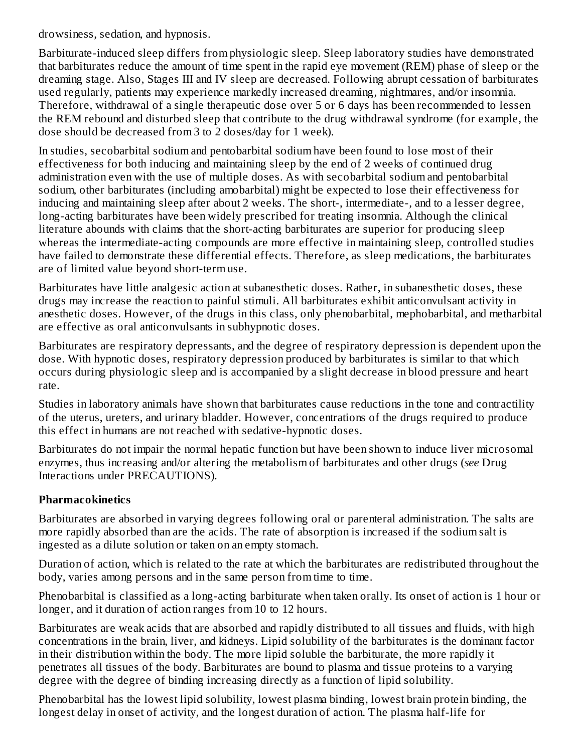drowsiness, sedation, and hypnosis.

Barbiturate-induced sleep differs from physiologic sleep. Sleep laboratory studies have demonstrated that barbiturates reduce the amount of time spent in the rapid eye movement (REM) phase of sleep or the dreaming stage. Also, Stages III and IV sleep are decreased. Following abrupt cessation of barbiturates used regularly, patients may experience markedly increased dreaming, nightmares, and/or insomnia. Therefore, withdrawal of a single therapeutic dose over 5 or 6 days has been recommended to lessen the REM rebound and disturbed sleep that contribute to the drug withdrawal syndrome (for example, the dose should be decreased from 3 to 2 doses/day for 1 week).

In studies, secobarbital sodium and pentobarbital sodium have been found to lose most of their effectiveness for both inducing and maintaining sleep by the end of 2 weeks of continued drug administration even with the use of multiple doses. As with secobarbital sodium and pentobarbital sodium, other barbiturates (including amobarbital) might be expected to lose their effectiveness for inducing and maintaining sleep after about 2 weeks. The short-, intermediate-, and to a lesser degree, long-acting barbiturates have been widely prescribed for treating insomnia. Although the clinical literature abounds with claims that the short-acting barbiturates are superior for producing sleep whereas the intermediate-acting compounds are more effective in maintaining sleep, controlled studies have failed to demonstrate these differential effects. Therefore, as sleep medications, the barbiturates are of limited value beyond short-term use.

Barbiturates have little analgesic action at subanesthetic doses. Rather, in subanesthetic doses, these drugs may increase the reaction to painful stimuli. All barbiturates exhibit anticonvulsant activity in anesthetic doses. However, of the drugs in this class, only phenobarbital, mephobarbital, and metharbital are effective as oral anticonvulsants in subhypnotic doses.

Barbiturates are respiratory depressants, and the degree of respiratory depression is dependent upon the dose. With hypnotic doses, respiratory depression produced by barbiturates is similar to that which occurs during physiologic sleep and is accompanied by a slight decrease in blood pressure and heart rate.

Studies in laboratory animals have shown that barbiturates cause reductions in the tone and contractility of the uterus, ureters, and urinary bladder. However, concentrations of the drugs required to produce this effect in humans are not reached with sedative-hypnotic doses.

Barbiturates do not impair the normal hepatic function but have been shown to induce liver microsomal enzymes, thus increasing and/or altering the metabolism of barbiturates and other drugs (*see* Drug Interactions under PRECAUTIONS).

## **Pharmacokinetics**

Barbiturates are absorbed in varying degrees following oral or parenteral administration. The salts are more rapidly absorbed than are the acids. The rate of absorption is increased if the sodium salt is ingested as a dilute solution or taken on an empty stomach.

Duration of action, which is related to the rate at which the barbiturates are redistributed throughout the body, varies among persons and in the same person from time to time.

Phenobarbital is classified as a long-acting barbiturate when taken orally. Its onset of action is 1 hour or longer, and it duration of action ranges from 10 to 12 hours.

Barbiturates are weak acids that are absorbed and rapidly distributed to all tissues and fluids, with high concentrations in the brain, liver, and kidneys. Lipid solubility of the barbiturates is the dominant factor in their distribution within the body. The more lipid soluble the barbiturate, the more rapidly it penetrates all tissues of the body. Barbiturates are bound to plasma and tissue proteins to a varying degree with the degree of binding increasing directly as a function of lipid solubility.

Phenobarbital has the lowest lipid solubility, lowest plasma binding, lowest brain protein binding, the longest delay in onset of activity, and the longest duration of action. The plasma half-life for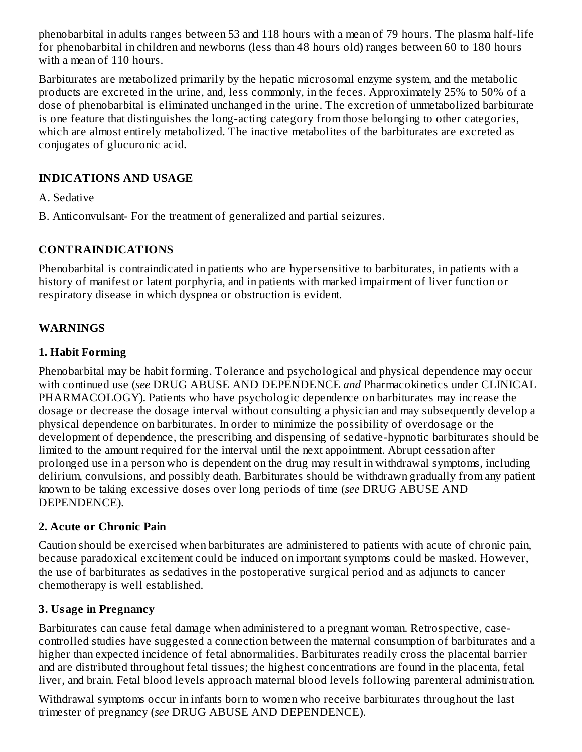phenobarbital in adults ranges between 53 and 118 hours with a mean of 79 hours. The plasma half-life for phenobarbital in children and newborns (less than 48 hours old) ranges between 60 to 180 hours with a mean of 110 hours.

Barbiturates are metabolized primarily by the hepatic microsomal enzyme system, and the metabolic products are excreted in the urine, and, less commonly, in the feces. Approximately 25% to 50% of a dose of phenobarbital is eliminated unchanged in the urine. The excretion of unmetabolized barbiturate is one feature that distinguishes the long-acting category from those belonging to other categories, which are almost entirely metabolized. The inactive metabolites of the barbiturates are excreted as conjugates of glucuronic acid.

## **INDICATIONS AND USAGE**

A. Sedative

B. Anticonvulsant- For the treatment of generalized and partial seizures.

## **CONTRAINDICATIONS**

Phenobarbital is contraindicated in patients who are hypersensitive to barbiturates, in patients with a history of manifest or latent porphyria, and in patients with marked impairment of liver function or respiratory disease in which dyspnea or obstruction is evident.

## **WARNINGS**

#### **1. Habit Forming**

Phenobarbital may be habit forming. Tolerance and psychological and physical dependence may occur with continued use (*see* DRUG ABUSE AND DEPENDENCE *and* Pharmacokinetics under CLINICAL PHARMACOLOGY). Patients who have psychologic dependence on barbiturates may increase the dosage or decrease the dosage interval without consulting a physician and may subsequently develop a physical dependence on barbiturates. In order to minimize the possibility of overdosage or the development of dependence, the prescribing and dispensing of sedative-hypnotic barbiturates should be limited to the amount required for the interval until the next appointment. Abrupt cessation after prolonged use in a person who is dependent on the drug may result in withdrawal symptoms, including delirium, convulsions, and possibly death. Barbiturates should be withdrawn gradually from any patient known to be taking excessive doses over long periods of time (*see* DRUG ABUSE AND DEPENDENCE).

#### **2. Acute or Chronic Pain**

Caution should be exercised when barbiturates are administered to patients with acute of chronic pain, because paradoxical excitement could be induced on important symptoms could be masked. However, the use of barbiturates as sedatives in the postoperative surgical period and as adjuncts to cancer chemotherapy is well established.

#### **3. Usage in Pregnancy**

Barbiturates can cause fetal damage when administered to a pregnant woman. Retrospective, casecontrolled studies have suggested a connection between the maternal consumption of barbiturates and a higher than expected incidence of fetal abnormalities. Barbiturates readily cross the placental barrier and are distributed throughout fetal tissues; the highest concentrations are found in the placenta, fetal liver, and brain. Fetal blood levels approach maternal blood levels following parenteral administration.

Withdrawal symptoms occur in infants born to women who receive barbiturates throughout the last trimester of pregnancy (*see* DRUG ABUSE AND DEPENDENCE).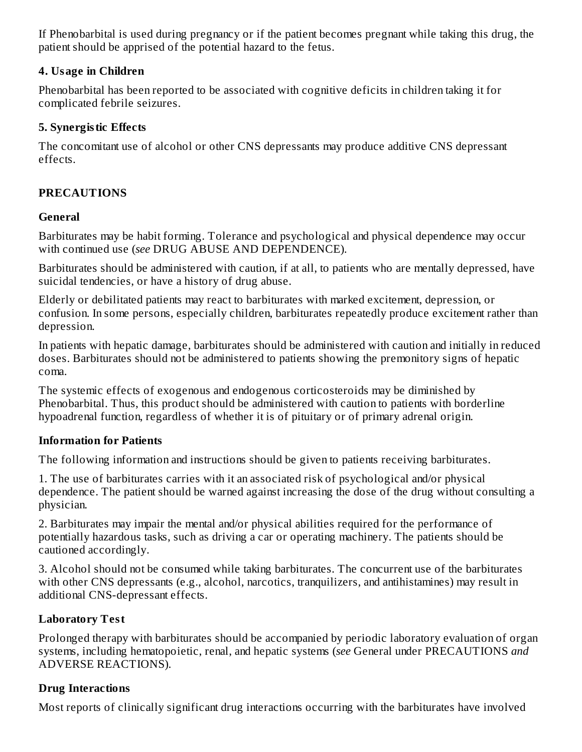If Phenobarbital is used during pregnancy or if the patient becomes pregnant while taking this drug, the patient should be apprised of the potential hazard to the fetus.

## **4. Usage in Children**

Phenobarbital has been reported to be associated with cognitive deficits in children taking it for complicated febrile seizures.

#### **5. Synergistic Effects**

The concomitant use of alcohol or other CNS depressants may produce additive CNS depressant effects.

## **PRECAUTIONS**

#### **General**

Barbiturates may be habit forming. Tolerance and psychological and physical dependence may occur with continued use (*see* DRUG ABUSE AND DEPENDENCE).

Barbiturates should be administered with caution, if at all, to patients who are mentally depressed, have suicidal tendencies, or have a history of drug abuse.

Elderly or debilitated patients may react to barbiturates with marked excitement, depression, or confusion. In some persons, especially children, barbiturates repeatedly produce excitement rather than depression.

In patients with hepatic damage, barbiturates should be administered with caution and initially in reduced doses. Barbiturates should not be administered to patients showing the premonitory signs of hepatic coma.

The systemic effects of exogenous and endogenous corticosteroids may be diminished by Phenobarbital. Thus, this product should be administered with caution to patients with borderline hypoadrenal function, regardless of whether it is of pituitary or of primary adrenal origin.

## **Information for Patients**

The following information and instructions should be given to patients receiving barbiturates.

1. The use of barbiturates carries with it an associated risk of psychological and/or physical dependence. The patient should be warned against increasing the dose of the drug without consulting a physician.

2. Barbiturates may impair the mental and/or physical abilities required for the performance of potentially hazardous tasks, such as driving a car or operating machinery. The patients should be cautioned accordingly.

3. Alcohol should not be consumed while taking barbiturates. The concurrent use of the barbiturates with other CNS depressants (e.g., alcohol, narcotics, tranquilizers, and antihistamines) may result in additional CNS-depressant effects.

## **Laboratory Test**

Prolonged therapy with barbiturates should be accompanied by periodic laboratory evaluation of organ systems, including hematopoietic, renal, and hepatic systems (*see* General under PRECAUTIONS *and* ADVERSE REACTIONS).

## **Drug Interactions**

Most reports of clinically significant drug interactions occurring with the barbiturates have involved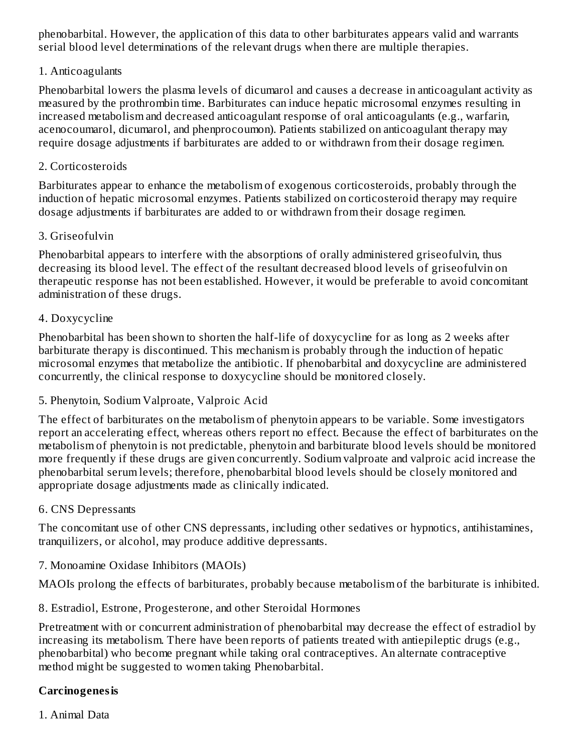phenobarbital. However, the application of this data to other barbiturates appears valid and warrants serial blood level determinations of the relevant drugs when there are multiple therapies.

#### 1. Anticoagulants

Phenobarbital lowers the plasma levels of dicumarol and causes a decrease in anticoagulant activity as measured by the prothrombin time. Barbiturates can induce hepatic microsomal enzymes resulting in increased metabolism and decreased anticoagulant response of oral anticoagulants (e.g., warfarin, acenocoumarol, dicumarol, and phenprocoumon). Patients stabilized on anticoagulant therapy may require dosage adjustments if barbiturates are added to or withdrawn from their dosage regimen.

#### 2. Corticosteroids

Barbiturates appear to enhance the metabolism of exogenous corticosteroids, probably through the induction of hepatic microsomal enzymes. Patients stabilized on corticosteroid therapy may require dosage adjustments if barbiturates are added to or withdrawn from their dosage regimen.

#### 3. Griseofulvin

Phenobarbital appears to interfere with the absorptions of orally administered griseofulvin, thus decreasing its blood level. The effect of the resultant decreased blood levels of griseofulvin on therapeutic response has not been established. However, it would be preferable to avoid concomitant administration of these drugs.

## 4. Doxycycline

Phenobarbital has been shown to shorten the half-life of doxycycline for as long as 2 weeks after barbiturate therapy is discontinued. This mechanism is probably through the induction of hepatic microsomal enzymes that metabolize the antibiotic. If phenobarbital and doxycycline are administered concurrently, the clinical response to doxycycline should be monitored closely.

#### 5. Phenytoin, Sodium Valproate, Valproic Acid

The effect of barbiturates on the metabolism of phenytoin appears to be variable. Some investigators report an accelerating effect, whereas others report no effect. Because the effect of barbiturates on the metabolism of phenytoin is not predictable, phenytoin and barbiturate blood levels should be monitored more frequently if these drugs are given concurrently. Sodium valproate and valproic acid increase the phenobarbital serum levels; therefore, phenobarbital blood levels should be closely monitored and appropriate dosage adjustments made as clinically indicated.

#### 6. CNS Depressants

The concomitant use of other CNS depressants, including other sedatives or hypnotics, antihistamines, tranquilizers, or alcohol, may produce additive depressants.

## 7. Monoamine Oxidase Inhibitors (MAOIs)

MAOIs prolong the effects of barbiturates, probably because metabolism of the barbiturate is inhibited.

## 8. Estradiol, Estrone, Progesterone, and other Steroidal Hormones

Pretreatment with or concurrent administration of phenobarbital may decrease the effect of estradiol by increasing its metabolism. There have been reports of patients treated with antiepileptic drugs (e.g., phenobarbital) who become pregnant while taking oral contraceptives. An alternate contraceptive method might be suggested to women taking Phenobarbital.

#### **Carcinogenesis**

1. Animal Data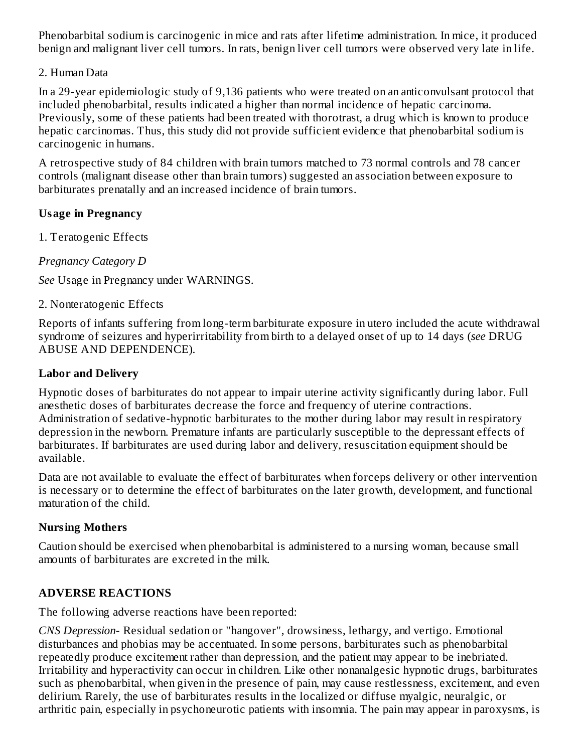Phenobarbital sodium is carcinogenic in mice and rats after lifetime administration. In mice, it produced benign and malignant liver cell tumors. In rats, benign liver cell tumors were observed very late in life.

#### 2. Human Data

In a 29-year epidemiologic study of 9,136 patients who were treated on an anticonvulsant protocol that included phenobarbital, results indicated a higher than normal incidence of hepatic carcinoma. Previously, some of these patients had been treated with thorotrast, a drug which is known to produce hepatic carcinomas. Thus, this study did not provide sufficient evidence that phenobarbital sodium is carcinogenic in humans.

A retrospective study of 84 children with brain tumors matched to 73 normal controls and 78 cancer controls (malignant disease other than brain tumors) suggested an association between exposure to barbiturates prenatally and an increased incidence of brain tumors.

#### **Usage in Pregnancy**

1. Teratogenic Effects

*Pregnancy Category D*

*See* Usage in Pregnancy under WARNINGS.

#### 2. Nonteratogenic Effects

Reports of infants suffering from long-term barbiturate exposure in utero included the acute withdrawal syndrome of seizures and hyperirritability from birth to a delayed onset of up to 14 days (*see* DRUG ABUSE AND DEPENDENCE).

#### **Labor and Delivery**

Hypnotic doses of barbiturates do not appear to impair uterine activity significantly during labor. Full anesthetic doses of barbiturates decrease the force and frequency of uterine contractions. Administration of sedative-hypnotic barbiturates to the mother during labor may result in respiratory depression in the newborn. Premature infants are particularly susceptible to the depressant effects of barbiturates. If barbiturates are used during labor and delivery, resuscitation equipment should be available.

Data are not available to evaluate the effect of barbiturates when forceps delivery or other intervention is necessary or to determine the effect of barbiturates on the later growth, development, and functional maturation of the child.

## **Nursing Mothers**

Caution should be exercised when phenobarbital is administered to a nursing woman, because small amounts of barbiturates are excreted in the milk.

## **ADVERSE REACTIONS**

The following adverse reactions have been reported:

*CNS Depression*- Residual sedation or "hangover", drowsiness, lethargy, and vertigo. Emotional disturbances and phobias may be accentuated. In some persons, barbiturates such as phenobarbital repeatedly produce excitement rather than depression, and the patient may appear to be inebriated. Irritability and hyperactivity can occur in children. Like other nonanalgesic hypnotic drugs, barbiturates such as phenobarbital, when given in the presence of pain, may cause restlessness, excitement, and even delirium. Rarely, the use of barbiturates results in the localized or diffuse myalgic, neuralgic, or arthritic pain, especially in psychoneurotic patients with insomnia. The pain may appear in paroxysms, is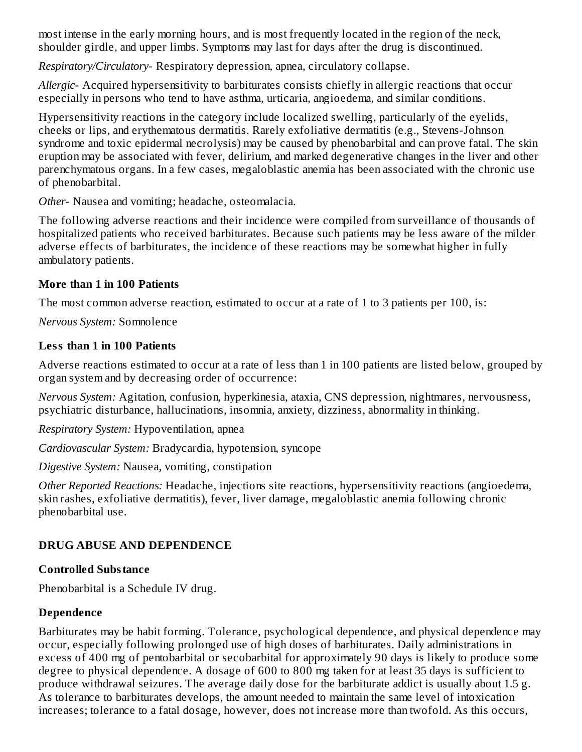most intense in the early morning hours, and is most frequently located in the region of the neck, shoulder girdle, and upper limbs. Symptoms may last for days after the drug is discontinued.

*Respiratory/Circulatory*- Respiratory depression, apnea, circulatory collapse.

*Allergic*- Acquired hypersensitivity to barbiturates consists chiefly in allergic reactions that occur especially in persons who tend to have asthma, urticaria, angioedema, and similar conditions.

Hypersensitivity reactions in the category include localized swelling, particularly of the eyelids, cheeks or lips, and erythematous dermatitis. Rarely exfoliative dermatitis (e.g., Stevens-Johnson syndrome and toxic epidermal necrolysis) may be caused by phenobarbital and can prove fatal. The skin eruption may be associated with fever, delirium, and marked degenerative changes in the liver and other parenchymatous organs. In a few cases, megaloblastic anemia has been associated with the chronic use of phenobarbital.

*Other*- Nausea and vomiting; headache, osteomalacia.

The following adverse reactions and their incidence were compiled from surveillance of thousands of hospitalized patients who received barbiturates. Because such patients may be less aware of the milder adverse effects of barbiturates, the incidence of these reactions may be somewhat higher in fully ambulatory patients.

## **More than 1 in 100 Patients**

The most common adverse reaction, estimated to occur at a rate of 1 to 3 patients per 100, is:

*Nervous System:* Somnolence

## **Less than 1 in 100 Patients**

Adverse reactions estimated to occur at a rate of less than 1 in 100 patients are listed below, grouped by organ system and by decreasing order of occurrence:

*Nervous System:* Agitation, confusion, hyperkinesia, ataxia, CNS depression, nightmares, nervousness, psychiatric disturbance, hallucinations, insomnia, anxiety, dizziness, abnormality in thinking.

*Respiratory System:* Hypoventilation, apnea

*Cardiovascular System:* Bradycardia, hypotension, syncope

*Digestive System:* Nausea, vomiting, constipation

*Other Reported Reactions:* Headache, injections site reactions, hypersensitivity reactions (angioedema, skin rashes, exfoliative dermatitis), fever, liver damage, megaloblastic anemia following chronic phenobarbital use.

# **DRUG ABUSE AND DEPENDENCE**

# **Controlled Substance**

Phenobarbital is a Schedule IV drug.

# **Dependence**

Barbiturates may be habit forming. Tolerance, psychological dependence, and physical dependence may occur, especially following prolonged use of high doses of barbiturates. Daily administrations in excess of 400 mg of pentobarbital or secobarbital for approximately 90 days is likely to produce some degree to physical dependence. A dosage of 600 to 800 mg taken for at least 35 days is sufficient to produce withdrawal seizures. The average daily dose for the barbiturate addict is usually about 1.5 g. As tolerance to barbiturates develops, the amount needed to maintain the same level of intoxication increases; tolerance to a fatal dosage, however, does not increase more than twofold. As this occurs,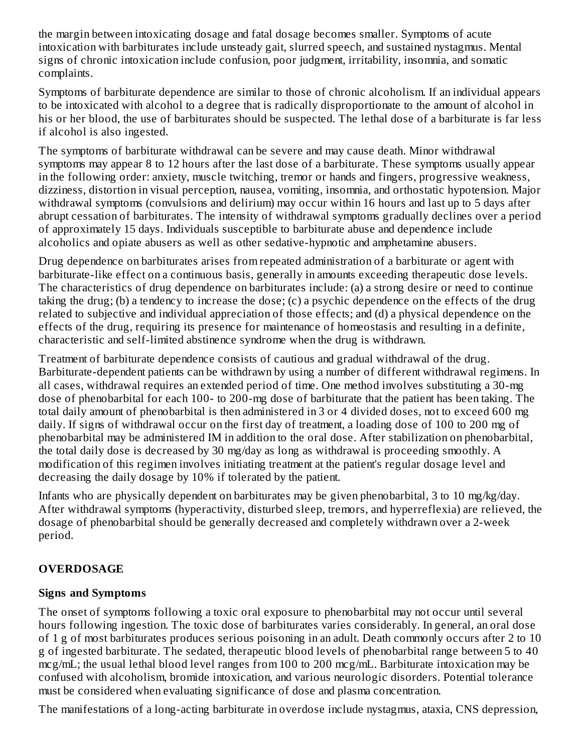the margin between intoxicating dosage and fatal dosage becomes smaller. Symptoms of acute intoxication with barbiturates include unsteady gait, slurred speech, and sustained nystagmus. Mental signs of chronic intoxication include confusion, poor judgment, irritability, insomnia, and somatic complaints.

Symptoms of barbiturate dependence are similar to those of chronic alcoholism. If an individual appears to be intoxicated with alcohol to a degree that is radically disproportionate to the amount of alcohol in his or her blood, the use of barbiturates should be suspected. The lethal dose of a barbiturate is far less if alcohol is also ingested.

The symptoms of barbiturate withdrawal can be severe and may cause death. Minor withdrawal symptoms may appear 8 to 12 hours after the last dose of a barbiturate. These symptoms usually appear in the following order: anxiety, muscle twitching, tremor or hands and fingers, progressive weakness, dizziness, distortion in visual perception, nausea, vomiting, insomnia, and orthostatic hypotension. Major withdrawal symptoms (convulsions and delirium) may occur within 16 hours and last up to 5 days after abrupt cessation of barbiturates. The intensity of withdrawal symptoms gradually declines over a period of approximately 15 days. Individuals susceptible to barbiturate abuse and dependence include alcoholics and opiate abusers as well as other sedative-hypnotic and amphetamine abusers.

Drug dependence on barbiturates arises from repeated administration of a barbiturate or agent with barbiturate-like effect on a continuous basis, generally in amounts exceeding therapeutic dose levels. The characteristics of drug dependence on barbiturates include: (a) a strong desire or need to continue taking the drug; (b) a tendency to increase the dose; (c) a psychic dependence on the effects of the drug related to subjective and individual appreciation of those effects; and (d) a physical dependence on the effects of the drug, requiring its presence for maintenance of homeostasis and resulting in a definite, characteristic and self-limited abstinence syndrome when the drug is withdrawn.

Treatment of barbiturate dependence consists of cautious and gradual withdrawal of the drug. Barbiturate-dependent patients can be withdrawn by using a number of different withdrawal regimens. In all cases, withdrawal requires an extended period of time. One method involves substituting a 30-mg dose of phenobarbital for each 100- to 200-mg dose of barbiturate that the patient has been taking. The total daily amount of phenobarbital is then administered in 3 or 4 divided doses, not to exceed 600 mg daily. If signs of withdrawal occur on the first day of treatment, a loading dose of 100 to 200 mg of phenobarbital may be administered IM in addition to the oral dose. After stabilization on phenobarbital, the total daily dose is decreased by 30 mg/day as long as withdrawal is proceeding smoothly. A modification of this regimen involves initiating treatment at the patient's regular dosage level and decreasing the daily dosage by 10% if tolerated by the patient.

Infants who are physically dependent on barbiturates may be given phenobarbital, 3 to 10 mg/kg/day. After withdrawal symptoms (hyperactivity, disturbed sleep, tremors, and hyperreflexia) are relieved, the dosage of phenobarbital should be generally decreased and completely withdrawn over a 2-week period.

## **OVERDOSAGE**

## **Signs and Symptoms**

The onset of symptoms following a toxic oral exposure to phenobarbital may not occur until several hours following ingestion. The toxic dose of barbiturates varies considerably. In general, an oral dose of 1 g of most barbiturates produces serious poisoning in an adult. Death commonly occurs after 2 to 10 g of ingested barbiturate. The sedated, therapeutic blood levels of phenobarbital range between 5 to 40 mcg/mL; the usual lethal blood level ranges from 100 to 200 mcg/mL. Barbiturate intoxication may be confused with alcoholism, bromide intoxication, and various neurologic disorders. Potential tolerance must be considered when evaluating significance of dose and plasma concentration.

The manifestations of a long-acting barbiturate in overdose include nystagmus, ataxia, CNS depression,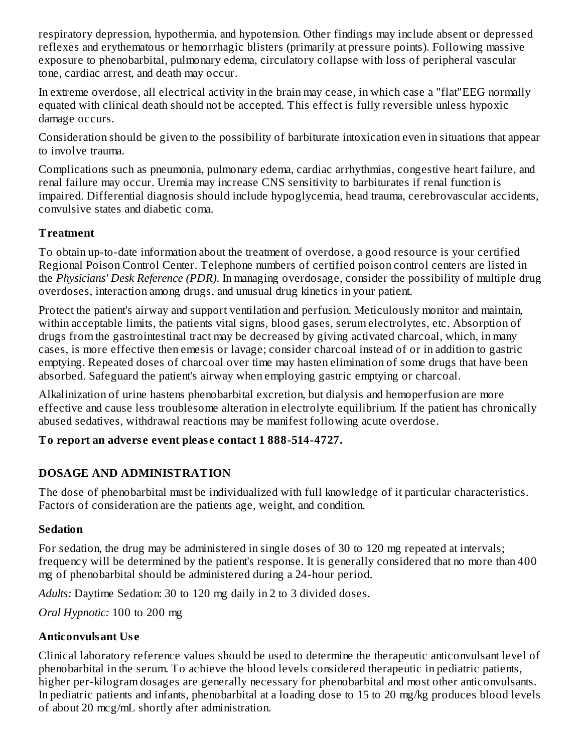respiratory depression, hypothermia, and hypotension. Other findings may include absent or depressed reflexes and erythematous or hemorrhagic blisters (primarily at pressure points). Following massive exposure to phenobarbital, pulmonary edema, circulatory collapse with loss of peripheral vascular tone, cardiac arrest, and death may occur.

In extreme overdose, all electrical activity in the brain may cease, in which case a "flat"EEG normally equated with clinical death should not be accepted. This effect is fully reversible unless hypoxic damage occurs.

Consideration should be given to the possibility of barbiturate intoxication even in situations that appear to involve trauma.

Complications such as pneumonia, pulmonary edema, cardiac arrhythmias, congestive heart failure, and renal failure may occur. Uremia may increase CNS sensitivity to barbiturates if renal function is impaired. Differential diagnosis should include hypoglycemia, head trauma, cerebrovascular accidents, convulsive states and diabetic coma.

## **Treatment**

To obtain up-to-date information about the treatment of overdose, a good resource is your certified Regional Poison Control Center. Telephone numbers of certified poison control centers are listed in the *Physicians' Desk Reference (PDR)*. In managing overdosage, consider the possibility of multiple drug overdoses, interaction among drugs, and unusual drug kinetics in your patient.

Protect the patient's airway and support ventilation and perfusion. Meticulously monitor and maintain, within acceptable limits, the patients vital signs, blood gases, serum electrolytes, etc. Absorption of drugs from the gastrointestinal tract may be decreased by giving activated charcoal, which, in many cases, is more effective then emesis or lavage; consider charcoal instead of or in addition to gastric emptying. Repeated doses of charcoal over time may hasten elimination of some drugs that have been absorbed. Safeguard the patient's airway when employing gastric emptying or charcoal.

Alkalinization of urine hastens phenobarbital excretion, but dialysis and hemoperfusion are more effective and cause less troublesome alteration in electrolyte equilibrium. If the patient has chronically abused sedatives, withdrawal reactions may be manifest following acute overdose.

#### **To report an advers e event pleas e contact 1 888-514-4727.**

## **DOSAGE AND ADMINISTRATION**

The dose of phenobarbital must be individualized with full knowledge of it particular characteristics. Factors of consideration are the patients age, weight, and condition.

## **Sedation**

For sedation, the drug may be administered in single doses of 30 to 120 mg repeated at intervals; frequency will be determined by the patient's response. It is generally considered that no more than 400 mg of phenobarbital should be administered during a 24-hour period.

*Adults:* Daytime Sedation: 30 to 120 mg daily in 2 to 3 divided doses.

*Oral Hypnotic:* 100 to 200 mg

## **Anticonvulsant Us e**

Clinical laboratory reference values should be used to determine the therapeutic anticonvulsant level of phenobarbital in the serum. To achieve the blood levels considered therapeutic in pediatric patients, higher per-kilogram dosages are generally necessary for phenobarbital and most other anticonvulsants. In pediatric patients and infants, phenobarbital at a loading dose to 15 to 20 mg/kg produces blood levels of about 20 mcg/mL shortly after administration.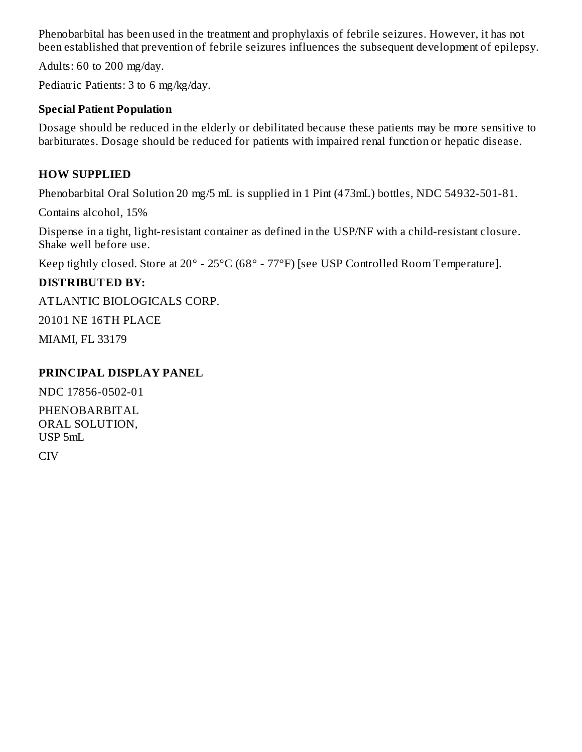Phenobarbital has been used in the treatment and prophylaxis of febrile seizures. However, it has not been established that prevention of febrile seizures influences the subsequent development of epilepsy.

Adults: 60 to 200 mg/day.

Pediatric Patients: 3 to 6 mg/kg/day.

#### **Special Patient Population**

Dosage should be reduced in the elderly or debilitated because these patients may be more sensitive to barbiturates. Dosage should be reduced for patients with impaired renal function or hepatic disease.

#### **HOW SUPPLIED**

Phenobarbital Oral Solution 20 mg/5 mL is supplied in 1 Pint (473mL) bottles, NDC 54932-501-81.

Contains alcohol, 15%

Dispense in a tight, light-resistant container as defined in the USP/NF with a child-resistant closure. Shake well before use.

Keep tightly closed. Store at 20° - 25°C (68° - 77°F) [see USP Controlled Room Temperature].

#### **DISTRIBUTED BY:**

ATLANTIC BIOLOGICALS CORP.

20101 NE 16TH PLACE

MIAMI, FL 33179

#### **PRINCIPAL DISPLAY PANEL**

NDC 17856-0502-01

PHENOBARBITAL ORAL SOLUTION, USP 5mL

CIV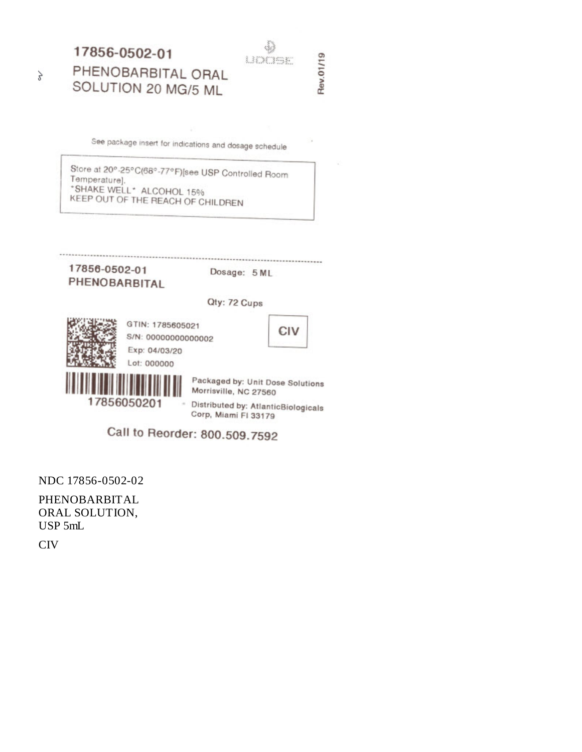# 17856-0502-01 PHENOBARBITAL ORAL SOLUTION 20 MG/5 ML

Rev.01/19 LEXISE

43

See package insert for indications and dosage schedule

Store at 20°-25°C(68°-77°F)[see USP Controlled Room Temperature]. \*SHAKE WELL\* ALCOHOL 15%<br>KEEP OUT OF THE REACH OF CHILDREN

17856-0502-01 PHENOBARBITAL

Dosage: 5 ML

Qty: 72 Cups



GTIN: 1785605021 S/N: 00000000000002 Exp: 04/03/20 Lot: 000000

CIV

17856050201

Packaged by: Unit Dose Solutions Morrisville, NC 27560

Distributed by: AtlanticBiologicals Corp, Miami FI 33179

Call to Reorder: 800.509.7592

 $\sim$ 

NDC 17856-0502-02

PHENOBARBITAL ORAL SOLUTION, USP 5mL

CIV

 $\mathcal{E}$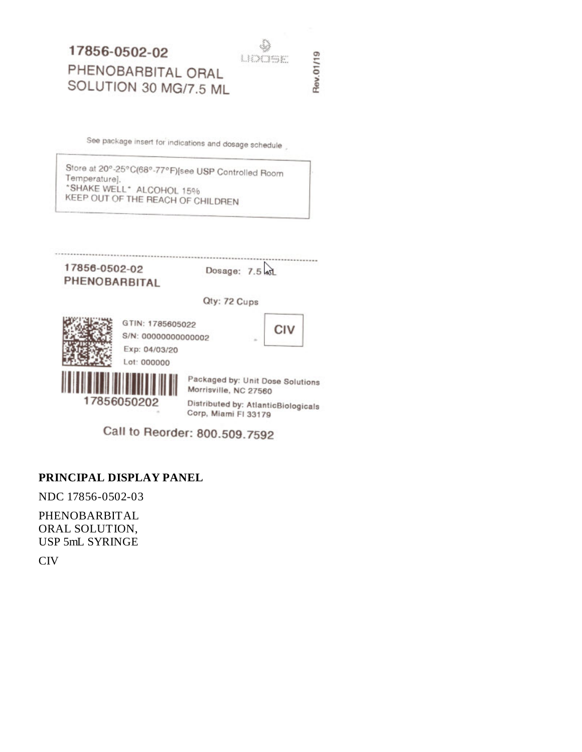#### 17856-0502-02 LIDGEE PHENOBARBITAL ORAL SOLUTION 30 MG/7.5 ML

See package insert for indications and dosage schedule

Store at 20°-25°C(68°-77°F)[see USP Controlled Room Temperature]. \*SHAKE WELL\* ALCOHOL 15% KEEP OUT OF THE REACH OF CHILDREN

17856-0502-02 PHENOBARBITAL Dosage: 7.5 ASL

41

Rev.01/19

Qty: 72 Cups



GTIN: 1785605022 S/N: 00000000000002 Exp: 04/03/20 Lot: 000000

CIV

...........

Packaged by: Unit Dose Solutions Morrisville, NC 27560

Distributed by: AtlanticBiologicals Corp, Miami FI 33179

Call to Reorder: 800.509.7592

#### **PRINCIPAL DISPLAY PANEL**

17856050202

NDC 17856-0502-03

PHENOBARBITAL ORAL SOLUTION, USP 5mL SYRINGE

CIV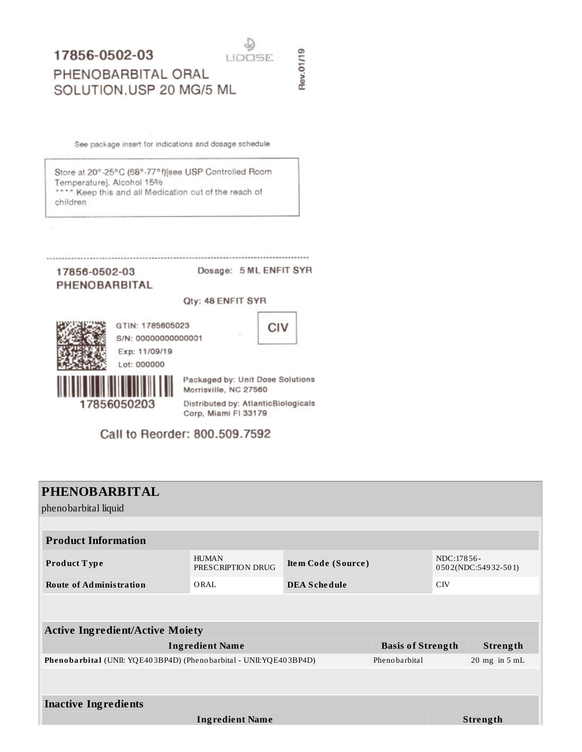#### 17856-0502-03 LEXISE PHENOBARBITAL ORAL SOLUTION, USP 20 MG/5 ML

Rev.01/19

See package insert for indications and dosage schedule

Store at 20°-25°C (68°-77°f)[see USP Controlled Room Temperature]. Alcohol 15% \*\*\*\* Keep this and all Medication out of the reach of children

17856-0502-03 Dosage: 5 ML ENFIT SYR PHENOBARBITAL Qty: 48 ENFIT SYR GTIN: 1785605023 CIV S/N: 00000000000001 Exp: 11/09/19 Lot: 000000 Packaged by: Unit Dose Solutions Morrisville, NC 27560

17856050203

Distributed by: AtlanticBiologicals Corp, Miami FI 33179

Call to Reorder: 800.509.7592

| <b>PHENOBARBITAL</b><br>phenobarbital liquid                        |                                   |                     |                          |                                   |                   |
|---------------------------------------------------------------------|-----------------------------------|---------------------|--------------------------|-----------------------------------|-------------------|
|                                                                     |                                   |                     |                          |                                   |                   |
| <b>Product Information</b>                                          |                                   |                     |                          |                                   |                   |
| Product Type                                                        | <b>HUMAN</b><br>PRESCRIPTION DRUG | Item Code (Source)  |                          | NDC:17856-<br>0502(NDC:54932-501) |                   |
| <b>Route of Administration</b>                                      | ORAL                              | <b>DEA Schedule</b> |                          | C <sub>IV</sub>                   |                   |
|                                                                     |                                   |                     |                          |                                   |                   |
| <b>Active Ingredient/Active Moiety</b>                              |                                   |                     |                          |                                   |                   |
| <b>Ingredient Name</b>                                              |                                   |                     | <b>Basis of Strength</b> |                                   | Strength          |
| Phenobarbital (UNII: YQE403BP4D) (Phenobarbital - UNII: YQE403BP4D) |                                   |                     | Phenobarbital            |                                   | $20$ mg in $5$ mL |
|                                                                     |                                   |                     |                          |                                   |                   |
| <b>Inactive Ingredients</b>                                         |                                   |                     |                          |                                   |                   |
| <b>Ingredient Name</b>                                              |                                   |                     |                          | <b>Strength</b>                   |                   |